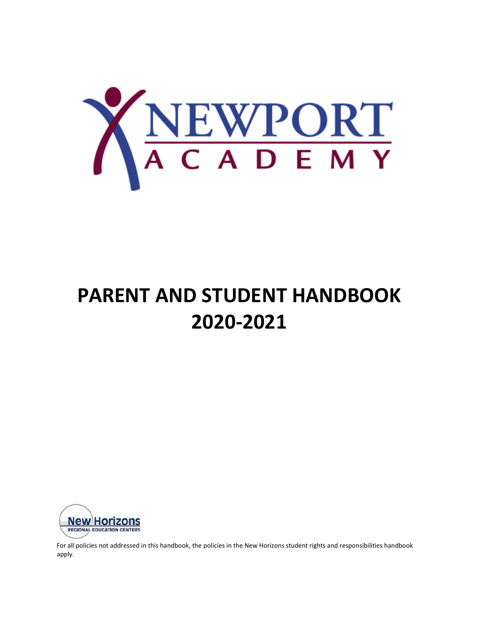

# **PARENT AND STUDENT HANDBOOK 2020-2021**



For all policies not addressed in this handbook, the policies in the New Horizons student rights and responsibilities handbook apply.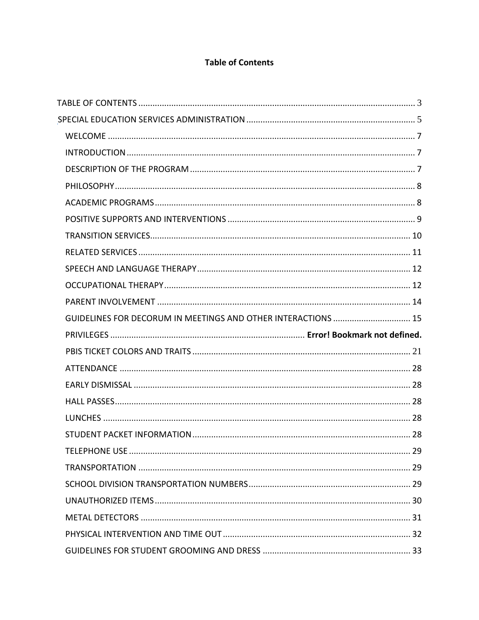### **Table of Contents**

| GUIDELINES FOR DECORUM IN MEETINGS AND OTHER INTERACTIONS  15 |  |
|---------------------------------------------------------------|--|
|                                                               |  |
|                                                               |  |
|                                                               |  |
|                                                               |  |
|                                                               |  |
|                                                               |  |
|                                                               |  |
|                                                               |  |
|                                                               |  |
|                                                               |  |
|                                                               |  |
|                                                               |  |
|                                                               |  |
|                                                               |  |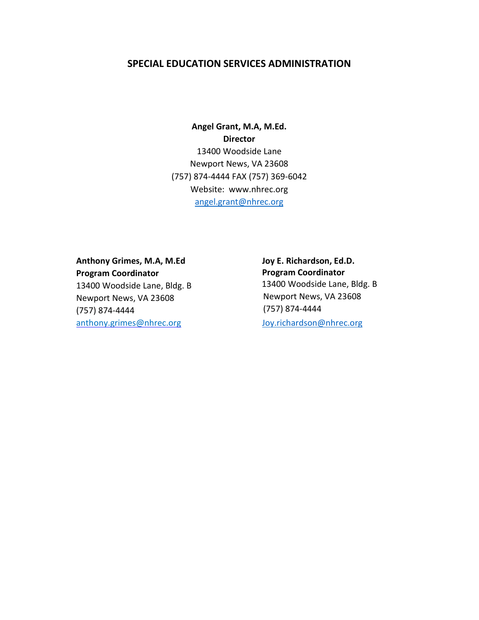### **SPECIAL EDUCATION SERVICES ADMINISTRATION**

**Angel Grant, M.A, M.Ed. Director** 13400 Woodside Lane Newport News, VA 23608 (757) 874-4444 FAX (757) 369-6042 Website: www.nhrec.org angel.grant@nhrec.org

**Anthony Grimes, M.A, M.Ed Program Coordinator**  13400 Woodside Lane, Bldg. B Newport News, VA 23608 (757) 874-4444 anthony.grimes@nhrec.org Joy.richardson@nhrec.org

**Joy E. Richardson, Ed.D. Program Coordinator**  13400 Woodside Lane, Bldg. B Newport News, VA 23608 (757) 874-4444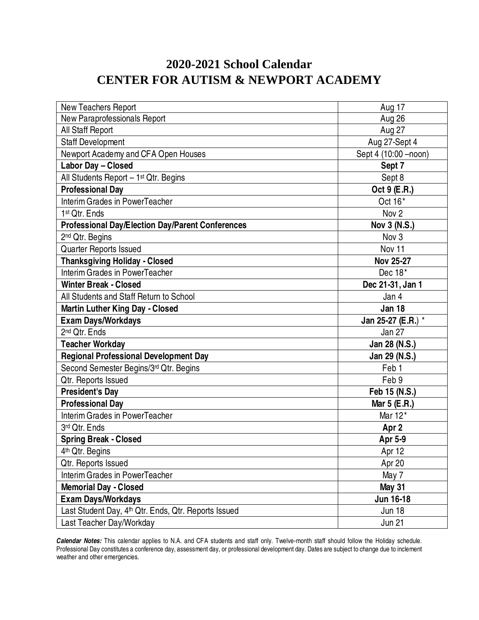## **2020-2021 School Calendar CENTER FOR AUTISM & NEWPORT ACADEMY**

| <b>New Teachers Report</b>                                       | Aug 17                |
|------------------------------------------------------------------|-----------------------|
| New Paraprofessionals Report                                     | Aug 26                |
| All Staff Report                                                 | Aug 27                |
| <b>Staff Development</b>                                         | Aug 27-Sept 4         |
| Newport Academy and CFA Open Houses                              | Sept 4 (10:00 - noon) |
| Labor Day - Closed                                               | Sept 7                |
| All Students Report - 1 <sup>st</sup> Qtr. Begins                | Sept 8                |
| <b>Professional Day</b>                                          | Oct 9 (E.R.)          |
| Interim Grades in PowerTeacher                                   | Oct 16*               |
| 1 <sup>st</sup> Qtr. Ends                                        | Nov <sub>2</sub>      |
| <b>Professional Day/Election Day/Parent Conferences</b>          | Nov 3 (N.S.)          |
| 2 <sup>nd</sup> Qtr. Begins                                      | Nov 3                 |
| Quarter Reports Issued                                           | Nov 11                |
| <b>Thanksgiving Holiday - Closed</b>                             | <b>Nov 25-27</b>      |
| Interim Grades in PowerTeacher                                   | Dec 18*               |
| <b>Winter Break - Closed</b>                                     | Dec 21-31, Jan 1      |
| All Students and Staff Return to School                          | Jan 4                 |
| <b>Martin Luther King Day - Closed</b>                           | <b>Jan 18</b>         |
| <b>Exam Days/Workdays</b>                                        | Jan 25-27 (E.R.) *    |
| 2 <sup>nd</sup> Qtr. Ends                                        | Jan 27                |
| <b>Teacher Workday</b>                                           | Jan 28 (N.S.)         |
| <b>Regional Professional Development Day</b>                     | Jan 29 (N.S.)         |
| Second Semester Begins/3rd Qtr. Begins                           | Feb <sub>1</sub>      |
| Qtr. Reports Issued                                              | Feb 9                 |
| <b>President's Day</b>                                           | Feb 15 (N.S.)         |
| <b>Professional Day</b>                                          | Mar 5 (E.R.)          |
| Interim Grades in PowerTeacher                                   | Mar 12*               |
| 3rd Qtr. Ends                                                    | Apr <sub>2</sub>      |
| <b>Spring Break - Closed</b>                                     | Apr 5-9               |
| 4 <sup>th</sup> Qtr. Begins                                      | Apr 12                |
| Qtr. Reports Issued                                              | Apr 20                |
| Interim Grades in PowerTeacher                                   | May 7                 |
| <b>Memorial Day - Closed</b>                                     | <b>May 31</b>         |
| <b>Exam Days/Workdays</b>                                        | Jun 16-18             |
| Last Student Day, 4 <sup>th</sup> Qtr. Ends, Qtr. Reports Issued | <b>Jun 18</b>         |
| Last Teacher Day/Workday                                         | <b>Jun 21</b>         |

**Calendar Notes:** This calendar applies to N.A. and CFA students and staff only. Twelve-month staff should follow the Holiday schedule. Professional Day constitutes a conference day, assessment day, or professional development day. Dates are subject to change due to inclement weather and other emergencies.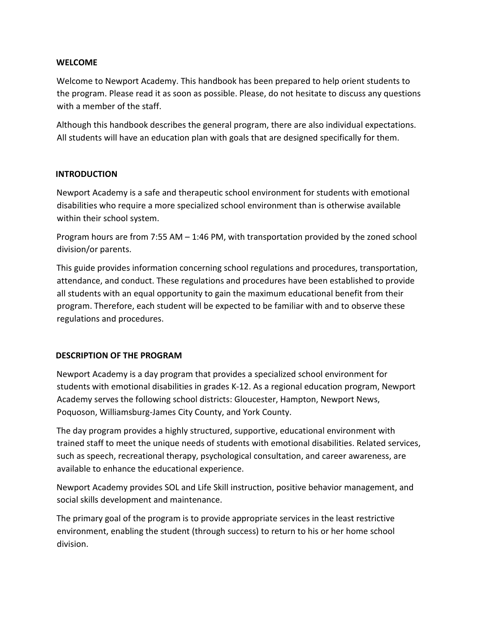### **WELCOME**

Welcome to Newport Academy. This handbook has been prepared to help orient students to the program. Please read it as soon as possible. Please, do not hesitate to discuss any questions with a member of the staff.

Although this handbook describes the general program, there are also individual expectations. All students will have an education plan with goals that are designed specifically for them.

### **INTRODUCTION**

Newport Academy is a safe and therapeutic school environment for students with emotional disabilities who require a more specialized school environment than is otherwise available within their school system.

Program hours are from 7:55 AM – 1:46 PM, with transportation provided by the zoned school division/or parents.

This guide provides information concerning school regulations and procedures, transportation, attendance, and conduct. These regulations and procedures have been established to provide all students with an equal opportunity to gain the maximum educational benefit from their program. Therefore, each student will be expected to be familiar with and to observe these regulations and procedures.

### **DESCRIPTION OF THE PROGRAM**

Newport Academy is a day program that provides a specialized school environment for students with emotional disabilities in grades K-12. As a regional education program, Newport Academy serves the following school districts: Gloucester, Hampton, Newport News, Poquoson, Williamsburg-James City County, and York County.

The day program provides a highly structured, supportive, educational environment with trained staff to meet the unique needs of students with emotional disabilities. Related services, such as speech, recreational therapy, psychological consultation, and career awareness, are available to enhance the educational experience.

Newport Academy provides SOL and Life Skill instruction, positive behavior management, and social skills development and maintenance.

The primary goal of the program is to provide appropriate services in the least restrictive environment, enabling the student (through success) to return to his or her home school division.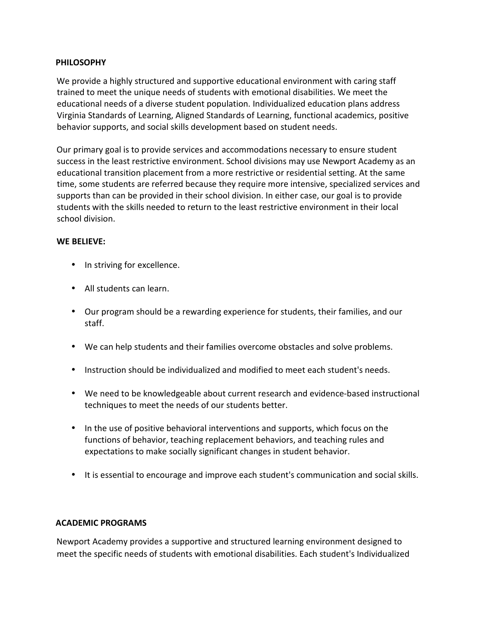### **PHILOSOPHY**

We provide a highly structured and supportive educational environment with caring staff trained to meet the unique needs of students with emotional disabilities. We meet the educational needs of a diverse student population. Individualized education plans address Virginia Standards of Learning, Aligned Standards of Learning, functional academics, positive behavior supports, and social skills development based on student needs.

Our primary goal is to provide services and accommodations necessary to ensure student success in the least restrictive environment. School divisions may use Newport Academy as an educational transition placement from a more restrictive or residential setting. At the same time, some students are referred because they require more intensive, specialized services and supports than can be provided in their school division. In either case, our goal is to provide students with the skills needed to return to the least restrictive environment in their local school division.

### **WE BELIEVE:**

- In striving for excellence.
- All students can learn.
- Our program should be a rewarding experience for students, their families, and our staff.
- We can help students and their families overcome obstacles and solve problems.
- Instruction should be individualized and modified to meet each student's needs.
- We need to be knowledgeable about current research and evidence-based instructional techniques to meet the needs of our students better.
- In the use of positive behavioral interventions and supports, which focus on the functions of behavior, teaching replacement behaviors, and teaching rules and expectations to make socially significant changes in student behavior.
- It is essential to encourage and improve each student's communication and social skills.

### **ACADEMIC PROGRAMS**

Newport Academy provides a supportive and structured learning environment designed to meet the specific needs of students with emotional disabilities. Each student's Individualized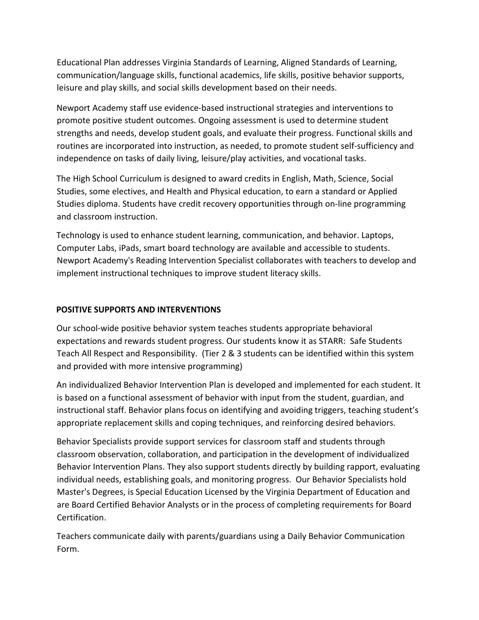Educational Plan addresses Virginia Standards of Learning, Aligned Standards of Learning, communication/language skills, functional academics, life skills, positive behavior supports, leisure and play skills, and social skills development based on their needs.

Newport Academy staff use evidence-based instructional strategies and interventions to promote positive student outcomes. Ongoing assessment is used to determine student strengths and needs, develop student goals, and evaluate their progress. Functional skills and routines are incorporated into instruction, as needed, to promote student self-sufficiency and independence on tasks of daily living, leisure/play activities, and vocational tasks.

The High School Curriculum is designed to award credits in English, Math, Science, Social Studies, some electives, and Health and Physical education, to earn a standard or Applied Studies diploma. Students have credit recovery opportunities through on-line programming and classroom instruction.

Technology is used to enhance student learning, communication, and behavior. Laptops, Computer Labs, iPads, smart board technology are available and accessible to students. Newport Academy's Reading Intervention Specialist collaborates with teachers to develop and implement instructional techniques to improve student literacy skills.

### **POSITIVE SUPPORTS AND INTERVENTIONS**

Our school-wide positive behavior system teaches students appropriate behavioral expectations and rewards student progress. Our students know it as STARR: Safe Students Teach All Respect and Responsibility. (Tier 2 & 3 students can be identified within this system and provided with more intensive programming)

An individualized Behavior Intervention Plan is developed and implemented for each student. It is based on a functional assessment of behavior with input from the student, guardian, and instructional staff. Behavior plans focus on identifying and avoiding triggers, teaching student's appropriate replacement skills and coping techniques, and reinforcing desired behaviors.

Behavior Specialists provide support services for classroom staff and students through classroom observation, collaboration, and participation in the development of individualized Behavior Intervention Plans. They also support students directly by building rapport, evaluating individual needs, establishing goals, and monitoring progress. Our Behavior Specialists hold Master's Degrees, is Special Education Licensed by the Virginia Department of Education and are Board Certified Behavior Analysts or in the process of completing requirements for Board Certification.

Teachers communicate daily with parents/guardians using a Daily Behavior Communication Form.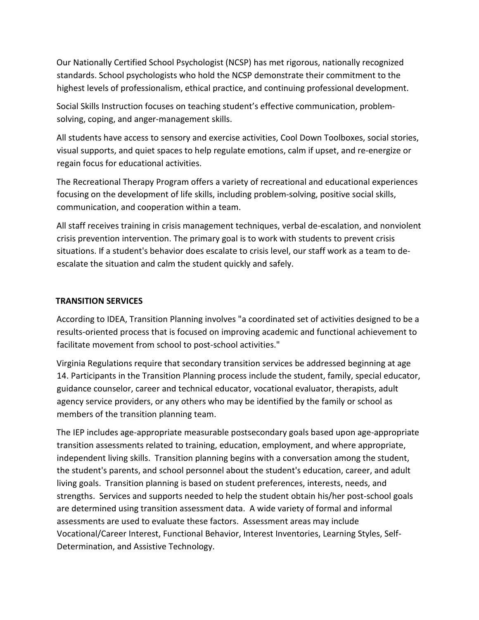Our Nationally Certified School Psychologist (NCSP) has met rigorous, nationally recognized standards. School psychologists who hold the NCSP demonstrate their commitment to the highest levels of professionalism, ethical practice, and continuing professional development.

Social Skills Instruction focuses on teaching student's effective communication, problemsolving, coping, and anger-management skills.

All students have access to sensory and exercise activities, Cool Down Toolboxes, social stories, visual supports, and quiet spaces to help regulate emotions, calm if upset, and re-energize or regain focus for educational activities.

The Recreational Therapy Program offers a variety of recreational and educational experiences focusing on the development of life skills, including problem-solving, positive social skills, communication, and cooperation within a team.

All staff receives training in crisis management techniques, verbal de-escalation, and nonviolent crisis prevention intervention. The primary goal is to work with students to prevent crisis situations. If a student's behavior does escalate to crisis level, our staff work as a team to deescalate the situation and calm the student quickly and safely.

### **TRANSITION SERVICES**

According to IDEA, Transition Planning involves "a coordinated set of activities designed to be a results-oriented process that is focused on improving academic and functional achievement to facilitate movement from school to post-school activities."

Virginia Regulations require that secondary transition services be addressed beginning at age 14. Participants in the Transition Planning process include the student, family, special educator, guidance counselor, career and technical educator, vocational evaluator, therapists, adult agency service providers, or any others who may be identified by the family or school as members of the transition planning team.

The IEP includes age-appropriate measurable postsecondary goals based upon age-appropriate transition assessments related to training, education, employment, and where appropriate, independent living skills. Transition planning begins with a conversation among the student, the student's parents, and school personnel about the student's education, career, and adult living goals. Transition planning is based on student preferences, interests, needs, and strengths. Services and supports needed to help the student obtain his/her post-school goals are determined using transition assessment data. A wide variety of formal and informal assessments are used to evaluate these factors. Assessment areas may include Vocational/Career Interest, Functional Behavior, Interest Inventories, Learning Styles, Self-Determination, and Assistive Technology.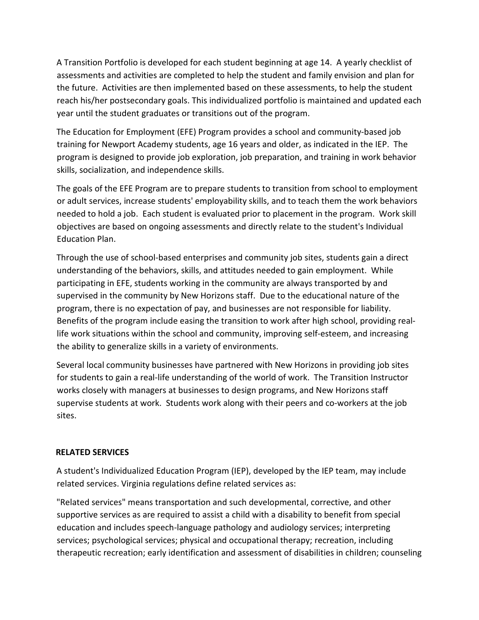A Transition Portfolio is developed for each student beginning at age 14. A yearly checklist of assessments and activities are completed to help the student and family envision and plan for the future. Activities are then implemented based on these assessments, to help the student reach his/her postsecondary goals. This individualized portfolio is maintained and updated each year until the student graduates or transitions out of the program.

The Education for Employment (EFE) Program provides a school and community-based job training for Newport Academy students, age 16 years and older, as indicated in the IEP. The program is designed to provide job exploration, job preparation, and training in work behavior skills, socialization, and independence skills.

The goals of the EFE Program are to prepare students to transition from school to employment or adult services, increase students' employability skills, and to teach them the work behaviors needed to hold a job. Each student is evaluated prior to placement in the program. Work skill objectives are based on ongoing assessments and directly relate to the student's Individual Education Plan.

Through the use of school-based enterprises and community job sites, students gain a direct understanding of the behaviors, skills, and attitudes needed to gain employment. While participating in EFE, students working in the community are always transported by and supervised in the community by New Horizons staff. Due to the educational nature of the program, there is no expectation of pay, and businesses are not responsible for liability. Benefits of the program include easing the transition to work after high school, providing reallife work situations within the school and community, improving self-esteem, and increasing the ability to generalize skills in a variety of environments.

Several local community businesses have partnered with New Horizons in providing job sites for students to gain a real-life understanding of the world of work. The Transition Instructor works closely with managers at businesses to design programs, and New Horizons staff supervise students at work. Students work along with their peers and co-workers at the job sites.

### **RELATED SERVICES**

A student's Individualized Education Program (IEP), developed by the IEP team, may include related services. Virginia regulations define related services as:

"Related services" means transportation and such developmental, corrective, and other supportive services as are required to assist a child with a disability to benefit from special education and includes speech-language pathology and audiology services; interpreting services; psychological services; physical and occupational therapy; recreation, including therapeutic recreation; early identification and assessment of disabilities in children; counseling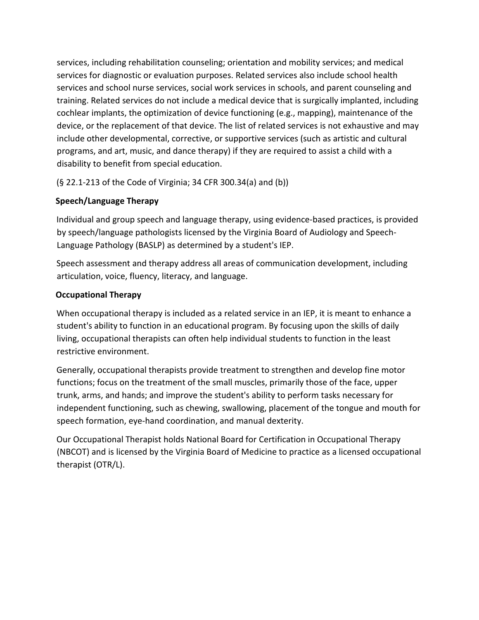services, including rehabilitation counseling; orientation and mobility services; and medical services for diagnostic or evaluation purposes. Related services also include school health services and school nurse services, social work services in schools, and parent counseling and training. Related services do not include a medical device that is surgically implanted, including cochlear implants, the optimization of device functioning (e.g., mapping), maintenance of the device, or the replacement of that device. The list of related services is not exhaustive and may include other developmental, corrective, or supportive services (such as artistic and cultural programs, and art, music, and dance therapy) if they are required to assist a child with a disability to benefit from special education.

(§ 22.1-213 of the Code of Virginia; 34 CFR 300.34(a) and (b))

### **Speech/Language Therapy**

Individual and group speech and language therapy, using evidence-based practices, is provided by speech/language pathologists licensed by the Virginia Board of Audiology and Speech-Language Pathology (BASLP) as determined by a student's IEP.

Speech assessment and therapy address all areas of communication development, including articulation, voice, fluency, literacy, and language.

### **Occupational Therapy**

When occupational therapy is included as a related service in an IEP, it is meant to enhance a student's ability to function in an educational program. By focusing upon the skills of daily living, occupational therapists can often help individual students to function in the least restrictive environment.

Generally, occupational therapists provide treatment to strengthen and develop fine motor functions; focus on the treatment of the small muscles, primarily those of the face, upper trunk, arms, and hands; and improve the student's ability to perform tasks necessary for independent functioning, such as chewing, swallowing, placement of the tongue and mouth for speech formation, eye-hand coordination, and manual dexterity.

Our Occupational Therapist holds National Board for Certification in Occupational Therapy (NBCOT) and is licensed by the Virginia Board of Medicine to practice as a licensed occupational therapist (OTR/L).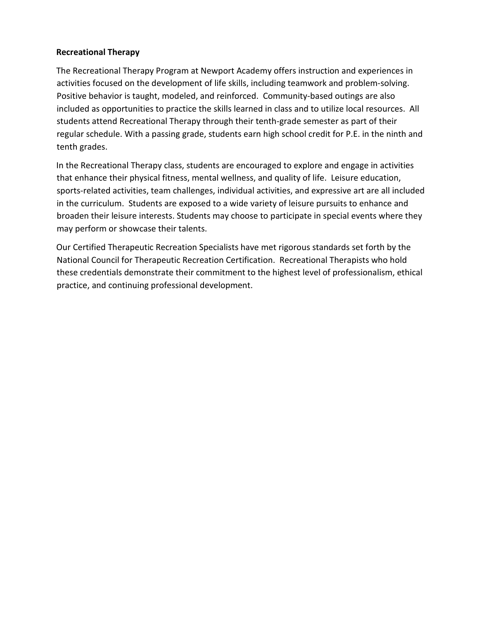### **Recreational Therapy**

The Recreational Therapy Program at Newport Academy offers instruction and experiences in activities focused on the development of life skills, including teamwork and problem-solving. Positive behavior is taught, modeled, and reinforced. Community-based outings are also included as opportunities to practice the skills learned in class and to utilize local resources. All students attend Recreational Therapy through their tenth-grade semester as part of their regular schedule. With a passing grade, students earn high school credit for P.E. in the ninth and tenth grades.

In the Recreational Therapy class, students are encouraged to explore and engage in activities that enhance their physical fitness, mental wellness, and quality of life. Leisure education, sports-related activities, team challenges, individual activities, and expressive art are all included in the curriculum. Students are exposed to a wide variety of leisure pursuits to enhance and broaden their leisure interests. Students may choose to participate in special events where they may perform or showcase their talents.

Our Certified Therapeutic Recreation Specialists have met rigorous standards set forth by the National Council for Therapeutic Recreation Certification. Recreational Therapists who hold these credentials demonstrate their commitment to the highest level of professionalism, ethical practice, and continuing professional development.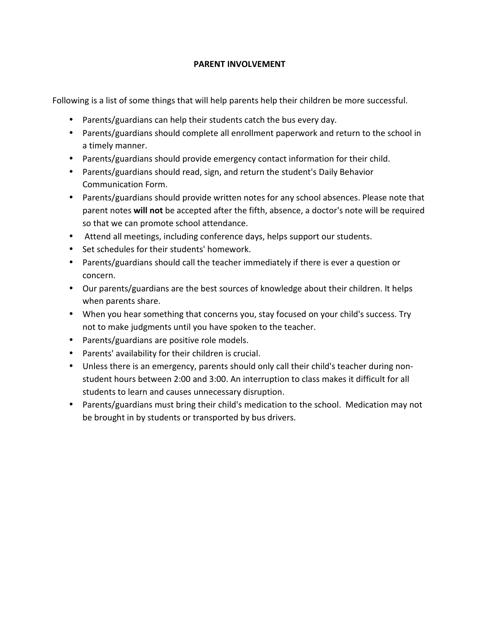### **PARENT INVOLVEMENT**

Following is a list of some things that will help parents help their children be more successful.

- Parents/guardians can help their students catch the bus every day.
- Parents/guardians should complete all enrollment paperwork and return to the school in a timely manner.
- Parents/guardians should provide emergency contact information for their child.
- Parents/guardians should read, sign, and return the student's Daily Behavior Communication Form.
- Parents/guardians should provide written notes for any school absences. Please note that parent notes **will not** be accepted after the fifth, absence, a doctor's note will be required so that we can promote school attendance.
- Attend all meetings, including conference days, helps support our students.
- Set schedules for their students' homework.
- Parents/guardians should call the teacher immediately if there is ever a question or concern.
- Our parents/guardians are the best sources of knowledge about their children. It helps when parents share.
- When you hear something that concerns you, stay focused on your child's success. Try not to make judgments until you have spoken to the teacher.
- Parents/guardians are positive role models.
- Parents' availability for their children is crucial.
- Unless there is an emergency, parents should only call their child's teacher during nonstudent hours between 2:00 and 3:00. An interruption to class makes it difficult for all students to learn and causes unnecessary disruption.
- Parents/guardians must bring their child's medication to the school. Medication may not be brought in by students or transported by bus drivers.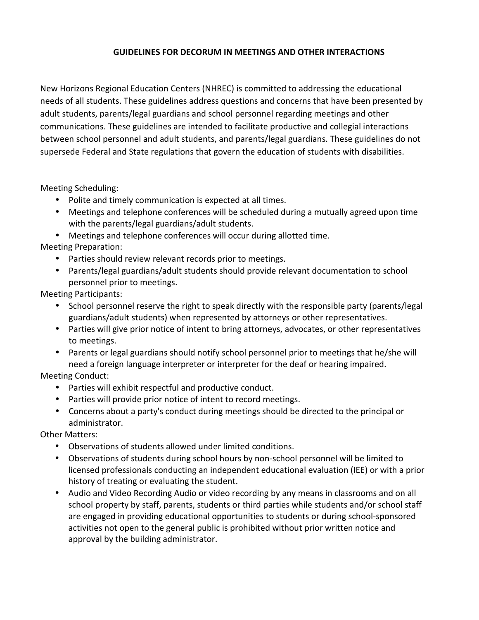### **GUIDELINES FOR DECORUM IN MEETINGS AND OTHER INTERACTIONS**

New Horizons Regional Education Centers (NHREC) is committed to addressing the educational needs of all students. These guidelines address questions and concerns that have been presented by adult students, parents/legal guardians and school personnel regarding meetings and other communications. These guidelines are intended to facilitate productive and collegial interactions between school personnel and adult students, and parents/legal guardians. These guidelines do not supersede Federal and State regulations that govern the education of students with disabilities.

Meeting Scheduling:

- Polite and timely communication is expected at all times.
- Meetings and telephone conferences will be scheduled during a mutually agreed upon time with the parents/legal guardians/adult students.
- Meetings and telephone conferences will occur during allotted time.

Meeting Preparation:

- Parties should review relevant records prior to meetings.
- Parents/legal guardians/adult students should provide relevant documentation to school personnel prior to meetings.

Meeting Participants:

- School personnel reserve the right to speak directly with the responsible party (parents/legal guardians/adult students) when represented by attorneys or other representatives.
- Parties will give prior notice of intent to bring attorneys, advocates, or other representatives to meetings.
- Parents or legal guardians should notify school personnel prior to meetings that he/she will need a foreign language interpreter or interpreter for the deaf or hearing impaired.

Meeting Conduct:

- Parties will exhibit respectful and productive conduct.
- Parties will provide prior notice of intent to record meetings.
- Concerns about a party's conduct during meetings should be directed to the principal or administrator.

Other Matters:

- Observations of students allowed under limited conditions.
- Observations of students during school hours by non-school personnel will be limited to licensed professionals conducting an independent educational evaluation (IEE) or with a prior history of treating or evaluating the student.
- Audio and Video Recording Audio or video recording by any means in classrooms and on all school property by staff, parents, students or third parties while students and/or school staff are engaged in providing educational opportunities to students or during school-sponsored activities not open to the general public is prohibited without prior written notice and approval by the building administrator.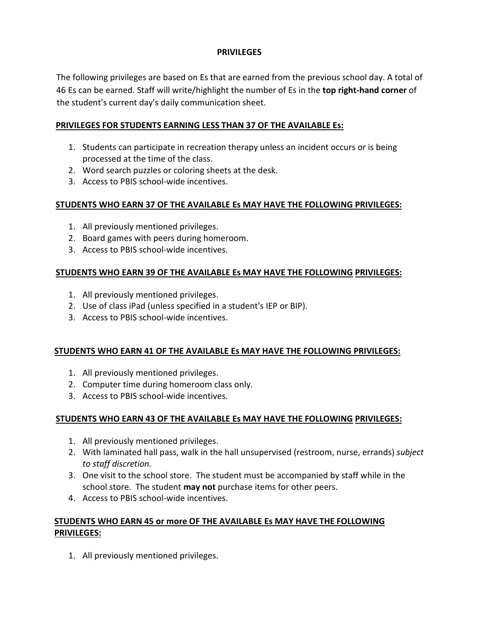### **PRIVILEGES**

The following privileges are based on Es that are earned from the previous school day. A total of 46 Es can be earned. Staff will write/highlight the number of Es in the **top right-hand corner** of the student's current day's daily communication sheet.

### **PRIVILEGES FOR STUDENTS EARNING LESS THAN 37 OF THE AVAILABLE Es:**

- 1. Students can participate in recreation therapy unless an incident occurs or is being processed at the time of the class.
- 2. Word search puzzles or coloring sheets at the desk.
- 3. Access to PBIS school-wide incentives.

### **STUDENTS WHO EARN 37 OF THE AVAILABLE Es MAY HAVE THE FOLLOWING PRIVILEGES:**

- 1. All previously mentioned privileges.
- 2. Board games with peers during homeroom.
- 3. Access to PBIS school-wide incentives.

### **STUDENTS WHO EARN 39 OF THE AVAILABLE Es MAY HAVE THE FOLLOWING PRIVILEGES:**

- 1. All previously mentioned privileges.
- 2. Use of class iPad (unless specified in a student's IEP or BIP).
- 3. Access to PBIS school-wide incentives.

### **STUDENTS WHO EARN 41 OF THE AVAILABLE Es MAY HAVE THE FOLLOWING PRIVILEGES:**

- 1. All previously mentioned privileges.
- 2. Computer time during homeroom class only.
- 3. Access to PBIS school-wide incentives.

### **STUDENTS WHO EARN 43 OF THE AVAILABLE Es MAY HAVE THE FOLLOWING PRIVILEGES:**

- 1. All previously mentioned privileges.
- 2. With laminated hall pass, walk in the hall unsupervised (restroom, nurse, errands) *subject to staff discretion.*
- 3. One visit to the school store. The student must be accompanied by staff while in the school store. The student **may not** purchase items for other peers.
- 4. Access to PBIS school-wide incentives.

### **STUDENTS WHO EARN 45 or more OF THE AVAILABLE Es MAY HAVE THE FOLLOWING PRIVILEGES:**

1. All previously mentioned privileges.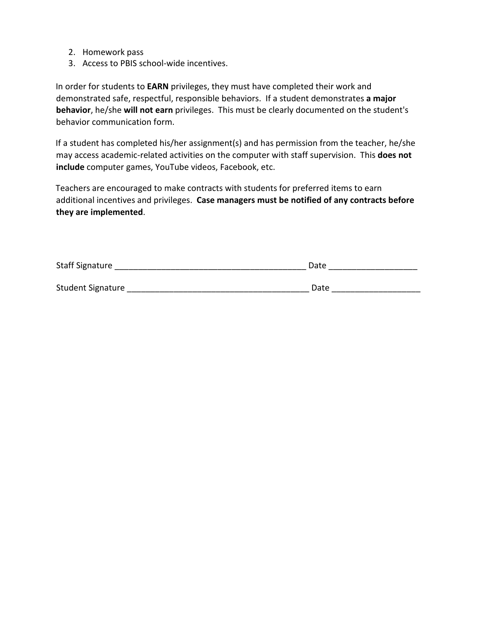- 2. Homework pass
- 3. Access to PBIS school-wide incentives.

In order for students to **EARN** privileges, they must have completed their work and demonstrated safe, respectful, responsible behaviors. If a student demonstrates **a major behavior**, he/she **will not earn** privileges. This must be clearly documented on the student's behavior communication form.

If a student has completed his/her assignment(s) and has permission from the teacher, he/she may access academic-related activities on the computer with staff supervision. This **does not include** computer games, YouTube videos, Facebook, etc.

Teachers are encouraged to make contracts with students for preferred items to earn additional incentives and privileges. **Case managers must be notified of any contracts before they are implemented**.

| Staff Signature   | Date |  |
|-------------------|------|--|
| Student Signature | Date |  |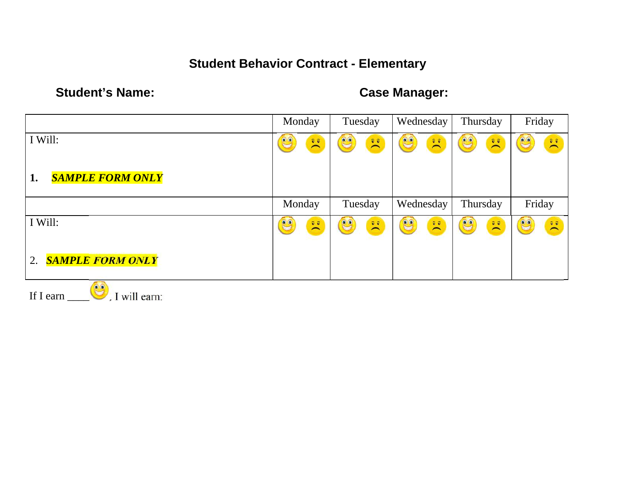## **Student Behavior Contract - Elementary**

## Student's Name: **Case Manager: Case Manager:**

|                                          | Monday                                                                                                                                                                                                                                                                                                                                                   | Tuesday                                                                   | Wednesday                                                                                                       | Thursday                                                                                                                                   | Friday                                                                           |
|------------------------------------------|----------------------------------------------------------------------------------------------------------------------------------------------------------------------------------------------------------------------------------------------------------------------------------------------------------------------------------------------------------|---------------------------------------------------------------------------|-----------------------------------------------------------------------------------------------------------------|--------------------------------------------------------------------------------------------------------------------------------------------|----------------------------------------------------------------------------------|
| I Will:                                  | C<br>$\begin{picture}(20,20) \put(0,0){\line(1,0){10}} \put(15,0){\line(1,0){10}} \put(15,0){\line(1,0){10}} \put(15,0){\line(1,0){10}} \put(15,0){\line(1,0){10}} \put(15,0){\line(1,0){10}} \put(15,0){\line(1,0){10}} \put(15,0){\line(1,0){10}} \put(15,0){\line(1,0){10}} \put(15,0){\line(1,0){10}} \put(15,0){\line(1,0){10}} \put(15,0){\line(1$ | C<br>$\sum_{i=1}^{\infty}$                                                | C<br>$\bar{\mathbf{v}}$                                                                                         | CO<br>$\sum_{i=1}^{n}$                                                                                                                     | $\mathbf{e}$<br>$\sum_{i=1}^{\infty}$                                            |
| <b>SAMPLE FORM ONLY</b><br>1.            |                                                                                                                                                                                                                                                                                                                                                          |                                                                           |                                                                                                                 |                                                                                                                                            |                                                                                  |
|                                          | Monday                                                                                                                                                                                                                                                                                                                                                   | Tuesday                                                                   | Wednesday                                                                                                       | Thursday                                                                                                                                   | Friday                                                                           |
| I Will:<br><b>SAMPLE FORM ONLY</b><br>2. | $\bullet$<br>$\begin{array}{c} \overline{\mathbf{e}} & \overline{\mathbf{e}} \\ \hline \end{array}$                                                                                                                                                                                                                                                      | C<br>$\begin{array}{c} \bar{\mathbf{v}} \\ \nabla \mathbf{v} \end{array}$ | C<br>$\begin{bmatrix} \bar{\mathbf{v}} & \bar{\mathbf{v}} \\ \bar{\mathbf{v}} & \bar{\mathbf{v}} \end{bmatrix}$ | $\mathbb{C}$<br>$\begin{bmatrix} \widehat{\mathbf{v}} & \widehat{\mathbf{v}} \\ \widehat{\mathbf{v}} & \widehat{\mathbf{v}} \end{bmatrix}$ | CO<br>$\begin{bmatrix} \widehat{v} & \widehat{v} \\ \longmapsto & \end{bmatrix}$ |
| $\circ$                                  |                                                                                                                                                                                                                                                                                                                                                          |                                                                           |                                                                                                                 |                                                                                                                                            |                                                                                  |

If I earn  $\Box$ , I will earn: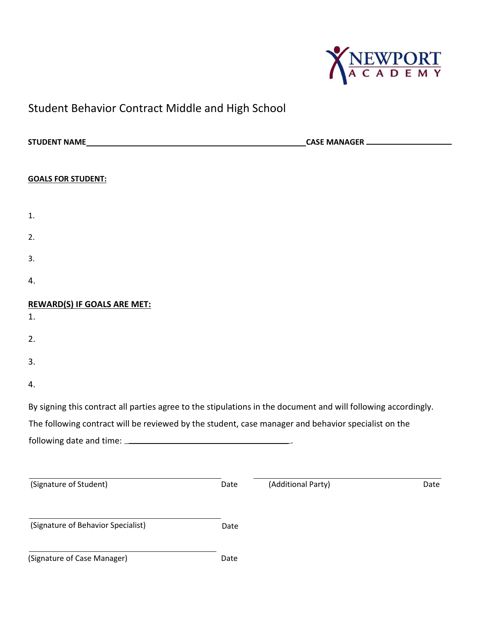

## Student Behavior Contract Middle and High School

| CASE MANAGER |                    |                                                                                                                                                                                                                       |  |
|--------------|--------------------|-----------------------------------------------------------------------------------------------------------------------------------------------------------------------------------------------------------------------|--|
|              |                    |                                                                                                                                                                                                                       |  |
|              |                    |                                                                                                                                                                                                                       |  |
|              |                    |                                                                                                                                                                                                                       |  |
|              |                    |                                                                                                                                                                                                                       |  |
|              |                    |                                                                                                                                                                                                                       |  |
|              |                    |                                                                                                                                                                                                                       |  |
|              |                    |                                                                                                                                                                                                                       |  |
|              |                    |                                                                                                                                                                                                                       |  |
|              |                    |                                                                                                                                                                                                                       |  |
|              |                    |                                                                                                                                                                                                                       |  |
|              |                    |                                                                                                                                                                                                                       |  |
|              |                    |                                                                                                                                                                                                                       |  |
|              |                    |                                                                                                                                                                                                                       |  |
|              |                    |                                                                                                                                                                                                                       |  |
|              |                    |                                                                                                                                                                                                                       |  |
|              |                    |                                                                                                                                                                                                                       |  |
| Date         | (Additional Party) | Date                                                                                                                                                                                                                  |  |
|              |                    |                                                                                                                                                                                                                       |  |
| Date         |                    |                                                                                                                                                                                                                       |  |
| Date         |                    |                                                                                                                                                                                                                       |  |
|              |                    | By signing this contract all parties agree to the stipulations in the document and will following accordingly.<br>The following contract will be reviewed by the student, case manager and behavior specialist on the |  |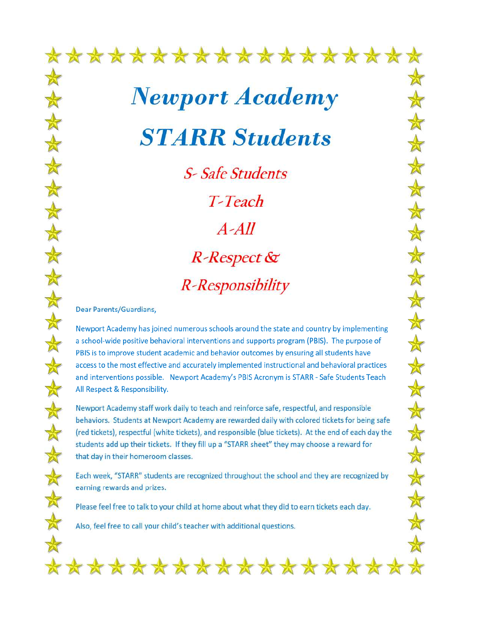\*\*\*\*\*\*\*\*\*\*\*\*\*\*\*\*\*\* **Newport Academy STARR Students** 

 $\star$ 

 $\bigstar$ 

 $\bigstar$ 

 $\bigstar$ 

\*

 $\bigstar$ 

\*

 $\frac{1}{\alpha}$ 

 $\frac{1}{\mathbb{A}}$ 

 $\bigstar$ 

 $\bigstar$ 

 $\bigstar$ 

 $\bigstar$ 

 $\star$ 

**S-Safe Students** T-Teach  $A-AII$ **R-Respect &** R-Responsibility

Dear Parents/Guardians,

Newport Academy has joined numerous schools around the state and country by implementing a school-wide positive behavioral interventions and supports program (PBIS). The purpose of PBIS is to improve student academic and behavior outcomes by ensuring all students have access to the most effective and accurately implemented instructional and behavioral practices and interventions possible. Newport Academy's PBIS Acronym is STARR - Safe Students Teach All Respect & Responsibility.

Newport Academy staff work daily to teach and reinforce safe, respectful, and responsible behaviors. Students at Newport Academy are rewarded daily with colored tickets for being safe (red tickets), respectful (white tickets), and responsible (blue tickets). At the end of each day the students add up their tickets. If they fill up a "STARR sheet" they may choose a reward for that day in their homeroom classes.

Each week, "STARR" students are recognized throughout the school and they are recognized by earning rewards and prizes.

Please feel free to talk to your child at home about what they did to earn tickets each day.

Also, feel free to call your child's teacher with additional questions.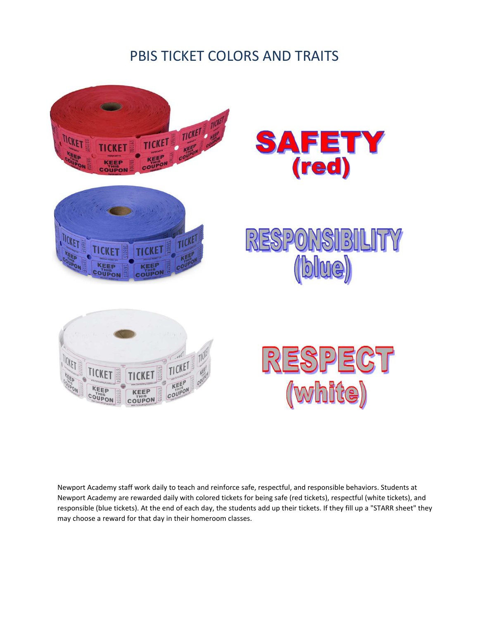## PBIS TICKET COLORS AND TRAITS



Newport Academy staff work daily to teach and reinforce safe, respectful, and responsible behaviors. Students at Newport Academy are rewarded daily with colored tickets for being safe (red tickets), respectful (white tickets), and responsible (blue tickets). At the end of each day, the students add up their tickets. If they fill up a "STARR sheet" they may choose a reward for that day in their homeroom classes.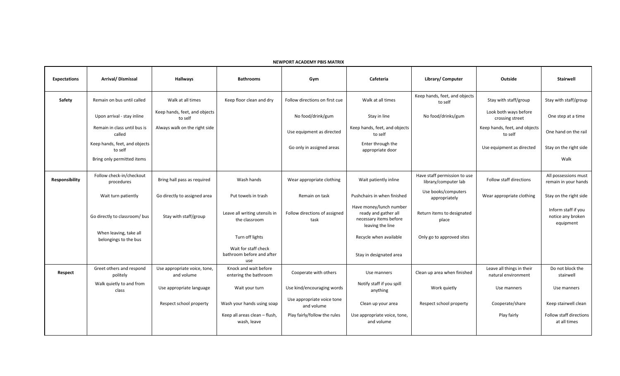**NEWPORT ACADEMY PBIS MATRIX**

| <b>Expectations</b> | Arrival/Dismissal                               | <b>Hallways</b>                            | <b>Bathrooms</b>                                         | Gym                                      | Cafeteria                                                                                     | Library/ Computer                                    | Outside                                          | <b>Stairwell</b>                                      |
|---------------------|-------------------------------------------------|--------------------------------------------|----------------------------------------------------------|------------------------------------------|-----------------------------------------------------------------------------------------------|------------------------------------------------------|--------------------------------------------------|-------------------------------------------------------|
| Safety              | Remain on bus until called                      | Walk at all times                          | Keep floor clean and dry                                 | Follow directions on first cue           | Walk at all times                                                                             | Keep hands, feet, and objects<br>to self             | Stay with staff/group                            | Stay with staff/group                                 |
|                     | Upon arrival - stay inline                      | Keep hands, feet, and objects<br>to self   |                                                          | No food/drink/gum                        | Stay in line                                                                                  | No food/drinks/gum                                   | Look both ways before<br>crossing street         | One step at a time                                    |
|                     | Remain in class until bus is<br>called          | Always walk on the right side              |                                                          | Use equipment as directed                | Keep hands, feet, and objects<br>to self                                                      |                                                      | Keep hands, feet, and objects<br>to self         | One hand on the rail                                  |
|                     | Keep hands, feet, and objects<br>to self        |                                            |                                                          | Go only in assigned areas                | Enter through the<br>appropriate door                                                         |                                                      | Use equipment as directed                        | Stay on the right side                                |
|                     | Bring only permitted items                      |                                            |                                                          |                                          |                                                                                               |                                                      |                                                  | Walk                                                  |
| Responsibility      | Follow check-in/checkout<br>procedures          | Bring hall pass as required                | Wash hands                                               | Wear appropriate clothing                | Wait patiently inline                                                                         | Have staff permission to use<br>library/computer lab | Follow staff directions                          | All possessions must<br>remain in your hands          |
|                     | Wait turn patiently                             | Go directly to assigned area               | Put towels in trash                                      | Remain on task                           | Pushchairs in when finished                                                                   | Use books/computers<br>appropriately                 | Wear appropriate clothing                        | Stay on the right side                                |
|                     | Go directly to classroom/bus                    | Stay with staff/group                      | Leave all writing utensils in<br>the classroom           | Follow directions of assigned<br>task    | Have money/lunch number<br>ready and gather all<br>necessary items before<br>leaving the line | Return items to designated<br>place                  |                                                  | Inform staff if you<br>notice any broken<br>equipment |
|                     | When leaving, take all<br>belongings to the bus |                                            | Turn off lights                                          |                                          | Recycle when available                                                                        | Only go to approved sites                            |                                                  |                                                       |
|                     |                                                 |                                            | Wait for staff check<br>bathroom before and after<br>use |                                          | Stay in designated area                                                                       |                                                      |                                                  |                                                       |
| Respect             | Greet others and respond<br>politely            | Use appropriate voice, tone,<br>and volume | Knock and wait before<br>entering the bathroom           | Cooperate with others                    | Use manners                                                                                   | Clean up area when finished                          | Leave all things in their<br>natural environment | Do not block the<br>stairwell                         |
|                     | Walk quietly to and from<br>class               | Use appropriate language                   | Wait your turn                                           | Use kind/encouraging words               | Notify staff if you spill<br>anything                                                         | Work quietly                                         | Use manners                                      | Use manners                                           |
|                     |                                                 | Respect school property                    | Wash your hands using soap                               | Use appropriate voice tone<br>and volume | Clean up your area                                                                            | Respect school property                              | Cooperate/share                                  | Keep stairwell clean                                  |
|                     |                                                 |                                            | Keep all areas clean - flush,<br>wash, leave             | Play fairly/follow the rules             | Use appropriate voice, tone,<br>and volume                                                    |                                                      | Play fairly                                      | Follow staff directions<br>at all times               |
|                     |                                                 |                                            |                                                          |                                          |                                                                                               |                                                      |                                                  |                                                       |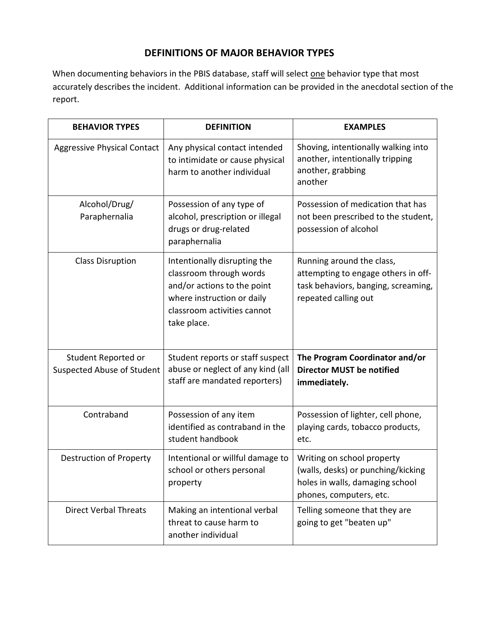### **DEFINITIONS OF MAJOR BEHAVIOR TYPES**

When documenting behaviors in the PBIS database, staff will select one behavior type that most accurately describes the incident. Additional information can be provided in the anecdotal section of the report.

| <b>BEHAVIOR TYPES</b>                                    | <b>DEFINITION</b>                                                                                                                                                  | <b>EXAMPLES</b>                                                                                                                 |
|----------------------------------------------------------|--------------------------------------------------------------------------------------------------------------------------------------------------------------------|---------------------------------------------------------------------------------------------------------------------------------|
| <b>Aggressive Physical Contact</b>                       | Any physical contact intended<br>to intimidate or cause physical<br>harm to another individual                                                                     | Shoving, intentionally walking into<br>another, intentionally tripping<br>another, grabbing<br>another                          |
| Alcohol/Drug/<br>Paraphernalia                           | Possession of any type of<br>alcohol, prescription or illegal<br>drugs or drug-related<br>paraphernalia                                                            | Possession of medication that has<br>not been prescribed to the student,<br>possession of alcohol                               |
| <b>Class Disruption</b>                                  | Intentionally disrupting the<br>classroom through words<br>and/or actions to the point<br>where instruction or daily<br>classroom activities cannot<br>take place. | Running around the class,<br>attempting to engage others in off-<br>task behaviors, banging, screaming,<br>repeated calling out |
| Student Reported or<br><b>Suspected Abuse of Student</b> | Student reports or staff suspect<br>abuse or neglect of any kind (all<br>staff are mandated reporters)                                                             | The Program Coordinator and/or<br><b>Director MUST be notified</b><br>immediately.                                              |
| Contraband                                               | Possession of any item<br>identified as contraband in the<br>student handbook                                                                                      | Possession of lighter, cell phone,<br>playing cards, tobacco products,<br>etc.                                                  |
| Destruction of Property                                  | Intentional or willful damage to<br>school or others personal<br>property                                                                                          | Writing on school property<br>(walls, desks) or punching/kicking<br>holes in walls, damaging school<br>phones, computers, etc.  |
| <b>Direct Verbal Threats</b>                             | Making an intentional verbal<br>threat to cause harm to<br>another individual                                                                                      | Telling someone that they are<br>going to get "beaten up"                                                                       |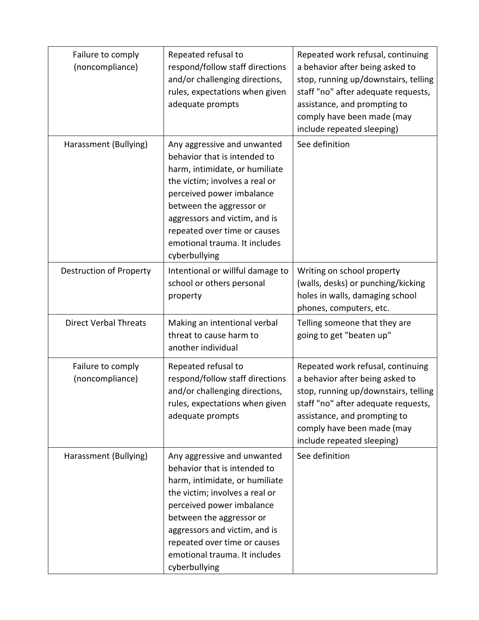| Failure to comply<br>(noncompliance) | Repeated refusal to<br>respond/follow staff directions<br>and/or challenging directions,<br>rules, expectations when given<br>adequate prompts                                                                                                                                                              | Repeated work refusal, continuing<br>a behavior after being asked to<br>stop, running up/downstairs, telling<br>staff "no" after adequate requests,<br>assistance, and prompting to<br>comply have been made (may<br>include repeated sleeping) |
|--------------------------------------|-------------------------------------------------------------------------------------------------------------------------------------------------------------------------------------------------------------------------------------------------------------------------------------------------------------|-------------------------------------------------------------------------------------------------------------------------------------------------------------------------------------------------------------------------------------------------|
| Harassment (Bullying)                | Any aggressive and unwanted<br>behavior that is intended to<br>harm, intimidate, or humiliate<br>the victim; involves a real or<br>perceived power imbalance<br>between the aggressor or<br>aggressors and victim, and is<br>repeated over time or causes<br>emotional trauma. It includes<br>cyberbullying | See definition                                                                                                                                                                                                                                  |
| Destruction of Property              | Intentional or willful damage to<br>school or others personal<br>property                                                                                                                                                                                                                                   | Writing on school property<br>(walls, desks) or punching/kicking<br>holes in walls, damaging school<br>phones, computers, etc.                                                                                                                  |
| <b>Direct Verbal Threats</b>         | Making an intentional verbal<br>threat to cause harm to<br>another individual                                                                                                                                                                                                                               | Telling someone that they are<br>going to get "beaten up"                                                                                                                                                                                       |
| Failure to comply<br>(noncompliance) | Repeated refusal to<br>respond/follow staff directions<br>and/or challenging directions,<br>rules, expectations when given<br>adequate prompts                                                                                                                                                              | Repeated work refusal, continuing<br>a behavior after being asked to<br>stop, running up/downstairs, telling<br>staff "no" after adequate requests,<br>assistance, and prompting to<br>comply have been made (may<br>include repeated sleeping) |
| Harassment (Bullying)                | Any aggressive and unwanted<br>behavior that is intended to<br>harm, intimidate, or humiliate<br>the victim; involves a real or<br>perceived power imbalance<br>between the aggressor or<br>aggressors and victim, and is<br>repeated over time or causes<br>emotional trauma. It includes<br>cyberbullying | See definition                                                                                                                                                                                                                                  |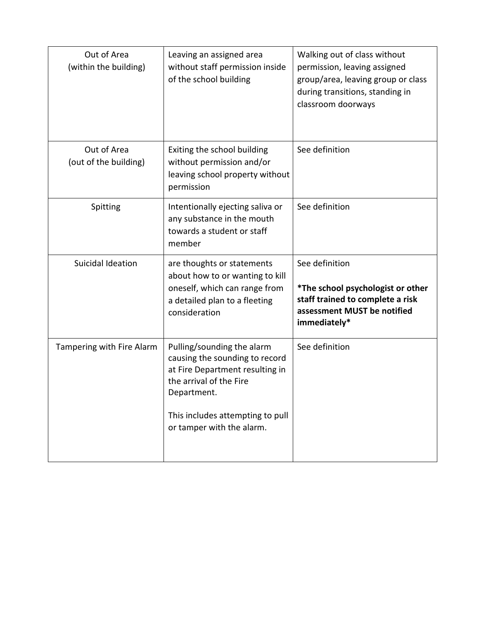| Out of Area<br>(within the building) | Leaving an assigned area<br>without staff permission inside<br>of the school building                                                                                                                      | Walking out of class without<br>permission, leaving assigned<br>group/area, leaving group or class<br>during transitions, standing in<br>classroom doorways |
|--------------------------------------|------------------------------------------------------------------------------------------------------------------------------------------------------------------------------------------------------------|-------------------------------------------------------------------------------------------------------------------------------------------------------------|
| Out of Area<br>(out of the building) | Exiting the school building<br>without permission and/or<br>leaving school property without<br>permission                                                                                                  | See definition                                                                                                                                              |
| Spitting                             | Intentionally ejecting saliva or<br>any substance in the mouth<br>towards a student or staff<br>member                                                                                                     | See definition                                                                                                                                              |
| Suicidal Ideation                    | are thoughts or statements<br>about how to or wanting to kill<br>oneself, which can range from<br>a detailed plan to a fleeting<br>consideration                                                           | See definition<br>*The school psychologist or other<br>staff trained to complete a risk<br>assessment MUST be notified<br>immediately*                      |
| Tampering with Fire Alarm            | Pulling/sounding the alarm<br>causing the sounding to record<br>at Fire Department resulting in<br>the arrival of the Fire<br>Department.<br>This includes attempting to pull<br>or tamper with the alarm. | See definition                                                                                                                                              |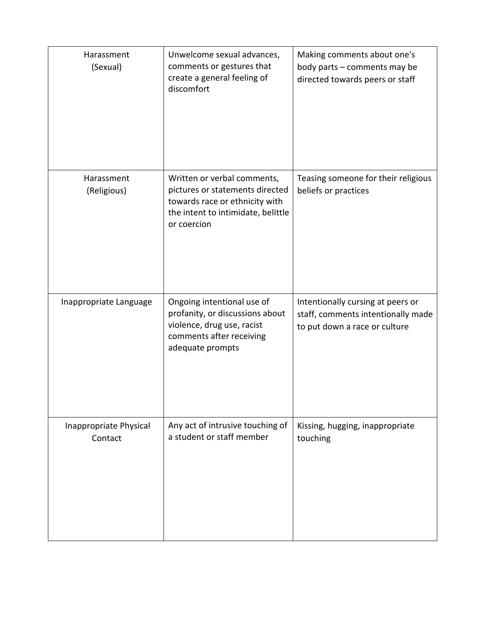| Harassment<br>(Sexual)            | Unwelcome sexual advances,<br>comments or gestures that<br>create a general feeling of<br>discomfort                                                  | Making comments about one's<br>body parts - comments may be<br>directed towards peers or staff           |
|-----------------------------------|-------------------------------------------------------------------------------------------------------------------------------------------------------|----------------------------------------------------------------------------------------------------------|
| Harassment<br>(Religious)         | Written or verbal comments,<br>pictures or statements directed<br>towards race or ethnicity with<br>the intent to intimidate, belittle<br>or coercion | Teasing someone for their religious<br>beliefs or practices                                              |
| Inappropriate Language            | Ongoing intentional use of<br>profanity, or discussions about<br>violence, drug use, racist<br>comments after receiving<br>adequate prompts           | Intentionally cursing at peers or<br>staff, comments intentionally made<br>to put down a race or culture |
| Inappropriate Physical<br>Contact | Any act of intrusive touching of<br>a student or staff member                                                                                         | Kissing, hugging, inappropriate<br>touching                                                              |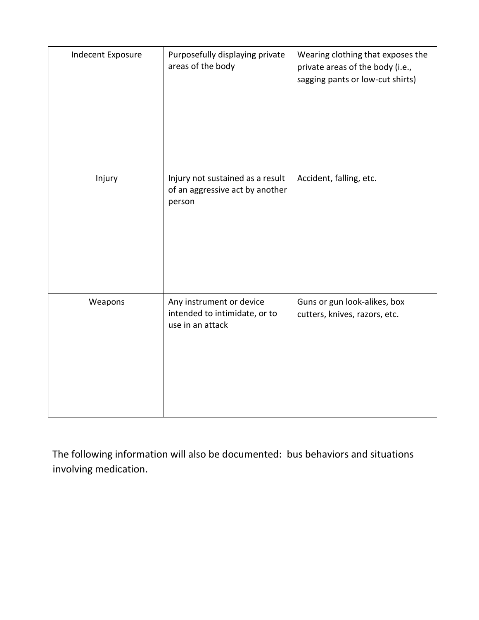| Indecent Exposure | Purposefully displaying private<br>areas of the body                          | Wearing clothing that exposes the<br>private areas of the body (i.e.,<br>sagging pants or low-cut shirts) |
|-------------------|-------------------------------------------------------------------------------|-----------------------------------------------------------------------------------------------------------|
| Injury            | Injury not sustained as a result<br>of an aggressive act by another<br>person | Accident, falling, etc.                                                                                   |
| Weapons           | Any instrument or device<br>intended to intimidate, or to<br>use in an attack | Guns or gun look-alikes, box<br>cutters, knives, razors, etc.                                             |

The following information will also be documented: bus behaviors and situations involving medication.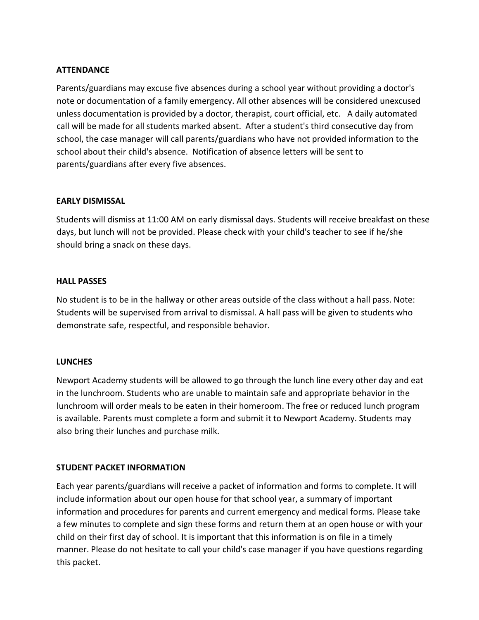### **ATTENDANCE**

Parents/guardians may excuse five absences during a school year without providing a doctor's note or documentation of a family emergency. All other absences will be considered unexcused unless documentation is provided by a doctor, therapist, court official, etc. A daily automated call will be made for all students marked absent. After a student's third consecutive day from school, the case manager will call parents/guardians who have not provided information to the school about their child's absence. Notification of absence letters will be sent to parents/guardians after every five absences.

### **EARLY DISMISSAL**

Students will dismiss at 11:00 AM on early dismissal days. Students will receive breakfast on these days, but lunch will not be provided. Please check with your child's teacher to see if he/she should bring a snack on these days.

### **HALL PASSES**

No student is to be in the hallway or other areas outside of the class without a hall pass. Note: Students will be supervised from arrival to dismissal. A hall pass will be given to students who demonstrate safe, respectful, and responsible behavior.

### **LUNCHES**

Newport Academy students will be allowed to go through the lunch line every other day and eat in the lunchroom. Students who are unable to maintain safe and appropriate behavior in the lunchroom will order meals to be eaten in their homeroom. The free or reduced lunch program is available. Parents must complete a form and submit it to Newport Academy. Students may also bring their lunches and purchase milk.

### **STUDENT PACKET INFORMATION**

Each year parents/guardians will receive a packet of information and forms to complete. It will include information about our open house for that school year, a summary of important information and procedures for parents and current emergency and medical forms. Please take a few minutes to complete and sign these forms and return them at an open house or with your child on their first day of school. It is important that this information is on file in a timely manner. Please do not hesitate to call your child's case manager if you have questions regarding this packet.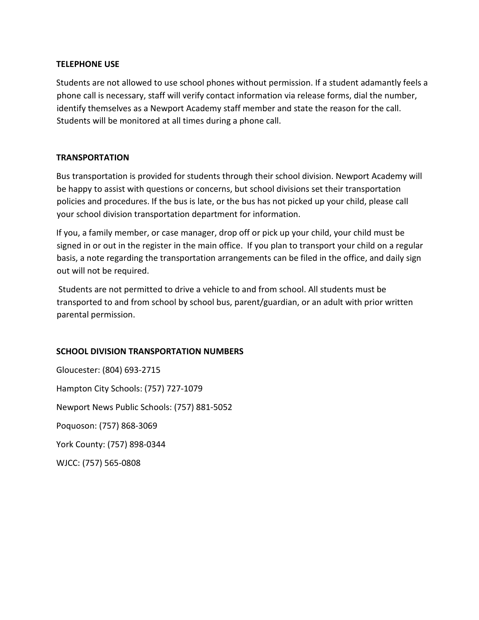### **TELEPHONE USE**

Students are not allowed to use school phones without permission. If a student adamantly feels a phone call is necessary, staff will verify contact information via release forms, dial the number, identify themselves as a Newport Academy staff member and state the reason for the call. Students will be monitored at all times during a phone call.

### **TRANSPORTATION**

Bus transportation is provided for students through their school division. Newport Academy will be happy to assist with questions or concerns, but school divisions set their transportation policies and procedures. If the bus is late, or the bus has not picked up your child, please call your school division transportation department for information.

If you, a family member, or case manager, drop off or pick up your child, your child must be signed in or out in the register in the main office. If you plan to transport your child on a regular basis, a note regarding the transportation arrangements can be filed in the office, and daily sign out will not be required.

 Students are not permitted to drive a vehicle to and from school. All students must be transported to and from school by school bus, parent/guardian, or an adult with prior written parental permission.

### **SCHOOL DIVISION TRANSPORTATION NUMBERS**

Gloucester: (804) 693-2715 Hampton City Schools: (757) 727-1079 Newport News Public Schools: (757) 881-5052 Poquoson: (757) 868-3069 York County: (757) 898-0344 WJCC: (757) 565-0808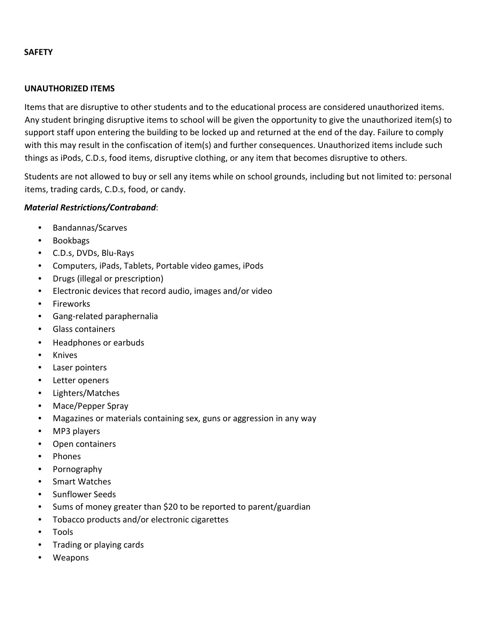### **SAFETY**

### **UNAUTHORIZED ITEMS**

Items that are disruptive to other students and to the educational process are considered unauthorized items. Any student bringing disruptive items to school will be given the opportunity to give the unauthorized item(s) to support staff upon entering the building to be locked up and returned at the end of the day. Failure to comply with this may result in the confiscation of item(s) and further consequences. Unauthorized items include such things as iPods, C.D.s, food items, disruptive clothing, or any item that becomes disruptive to others.

Students are not allowed to buy or sell any items while on school grounds, including but not limited to: personal items, trading cards, C.D.s, food, or candy.

### *Material Restrictions/Contraband*:

- Bandannas/Scarves
- Bookbags
- C.D.s, DVDs, Blu-Rays
- Computers, iPads, Tablets, Portable video games, iPods
- Drugs (illegal or prescription)
- Electronic devices that record audio, images and/or video
- Fireworks
- Gang-related paraphernalia
- Glass containers
- Headphones or earbuds
- Knives
- Laser pointers
- Letter openers
- Lighters/Matches
- Mace/Pepper Spray
- Magazines or materials containing sex, guns or aggression in any way
- MP3 players
- Open containers
- Phones
- Pornography
- Smart Watches
- Sunflower Seeds
- Sums of money greater than \$20 to be reported to parent/guardian
- Tobacco products and/or electronic cigarettes
- Tools
- Trading or playing cards
- Weapons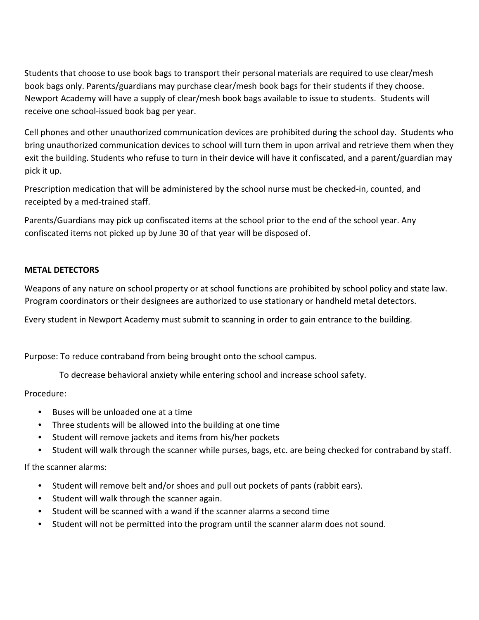Students that choose to use book bags to transport their personal materials are required to use clear/mesh book bags only. Parents/guardians may purchase clear/mesh book bags for their students if they choose. Newport Academy will have a supply of clear/mesh book bags available to issue to students. Students will receive one school-issued book bag per year.

Cell phones and other unauthorized communication devices are prohibited during the school day. Students who bring unauthorized communication devices to school will turn them in upon arrival and retrieve them when they exit the building. Students who refuse to turn in their device will have it confiscated, and a parent/guardian may pick it up.

Prescription medication that will be administered by the school nurse must be checked-in, counted, and receipted by a med-trained staff.

Parents/Guardians may pick up confiscated items at the school prior to the end of the school year. Any confiscated items not picked up by June 30 of that year will be disposed of.

### **METAL DETECTORS**

Weapons of any nature on school property or at school functions are prohibited by school policy and state law. Program coordinators or their designees are authorized to use stationary or handheld metal detectors.

Every student in Newport Academy must submit to scanning in order to gain entrance to the building.

Purpose: To reduce contraband from being brought onto the school campus.

To decrease behavioral anxiety while entering school and increase school safety.

Procedure:

- Buses will be unloaded one at a time
- Three students will be allowed into the building at one time
- Student will remove jackets and items from his/her pockets
- Student will walk through the scanner while purses, bags, etc. are being checked for contraband by staff.

If the scanner alarms:

- Student will remove belt and/or shoes and pull out pockets of pants (rabbit ears).
- Student will walk through the scanner again.
- Student will be scanned with a wand if the scanner alarms a second time
- Student will not be permitted into the program until the scanner alarm does not sound.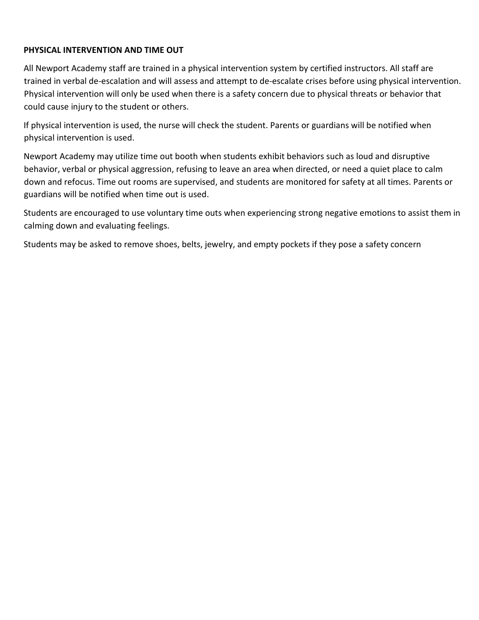### **PHYSICAL INTERVENTION AND TIME OUT**

All Newport Academy staff are trained in a physical intervention system by certified instructors. All staff are trained in verbal de-escalation and will assess and attempt to de-escalate crises before using physical intervention. Physical intervention will only be used when there is a safety concern due to physical threats or behavior that could cause injury to the student or others.

If physical intervention is used, the nurse will check the student. Parents or guardians will be notified when physical intervention is used.

Newport Academy may utilize time out booth when students exhibit behaviors such as loud and disruptive behavior, verbal or physical aggression, refusing to leave an area when directed, or need a quiet place to calm down and refocus. Time out rooms are supervised, and students are monitored for safety at all times. Parents or guardians will be notified when time out is used.

Students are encouraged to use voluntary time outs when experiencing strong negative emotions to assist them in calming down and evaluating feelings.

Students may be asked to remove shoes, belts, jewelry, and empty pockets if they pose a safety concern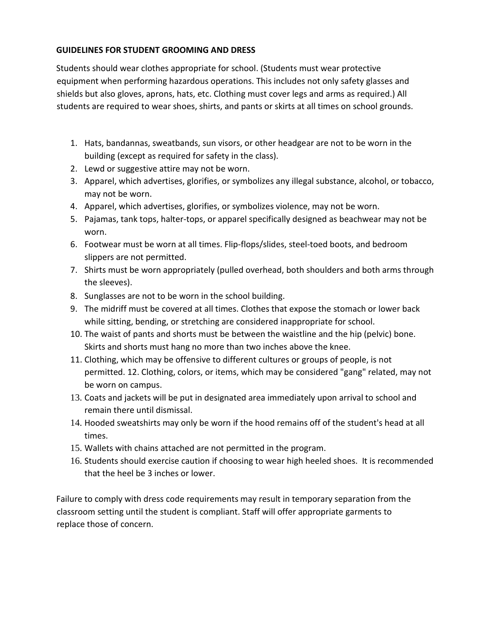### **GUIDELINES FOR STUDENT GROOMING AND DRESS**

Students should wear clothes appropriate for school. (Students must wear protective equipment when performing hazardous operations. This includes not only safety glasses and shields but also gloves, aprons, hats, etc. Clothing must cover legs and arms as required.) All students are required to wear shoes, shirts, and pants or skirts at all times on school grounds.

- 1. Hats, bandannas, sweatbands, sun visors, or other headgear are not to be worn in the building (except as required for safety in the class).
- 2. Lewd or suggestive attire may not be worn.
- 3. Apparel, which advertises, glorifies, or symbolizes any illegal substance, alcohol, or tobacco, may not be worn.
- 4. Apparel, which advertises, glorifies, or symbolizes violence, may not be worn.
- 5. Pajamas, tank tops, halter-tops, or apparel specifically designed as beachwear may not be worn.
- 6. Footwear must be worn at all times. Flip-flops/slides, steel-toed boots, and bedroom slippers are not permitted.
- 7. Shirts must be worn appropriately (pulled overhead, both shoulders and both arms through the sleeves).
- 8. Sunglasses are not to be worn in the school building.
- 9. The midriff must be covered at all times. Clothes that expose the stomach or lower back while sitting, bending, or stretching are considered inappropriate for school.
- 10. The waist of pants and shorts must be between the waistline and the hip (pelvic) bone. Skirts and shorts must hang no more than two inches above the knee.
- 11. Clothing, which may be offensive to different cultures or groups of people, is not permitted. 12. Clothing, colors, or items, which may be considered "gang" related, may not be worn on campus.
- 13. Coats and jackets will be put in designated area immediately upon arrival to school and remain there until dismissal.
- 14. Hooded sweatshirts may only be worn if the hood remains off of the student's head at all times.
- 15. Wallets with chains attached are not permitted in the program.
- 16. Students should exercise caution if choosing to wear high heeled shoes. It is recommended that the heel be 3 inches or lower.

Failure to comply with dress code requirements may result in temporary separation from the classroom setting until the student is compliant. Staff will offer appropriate garments to replace those of concern.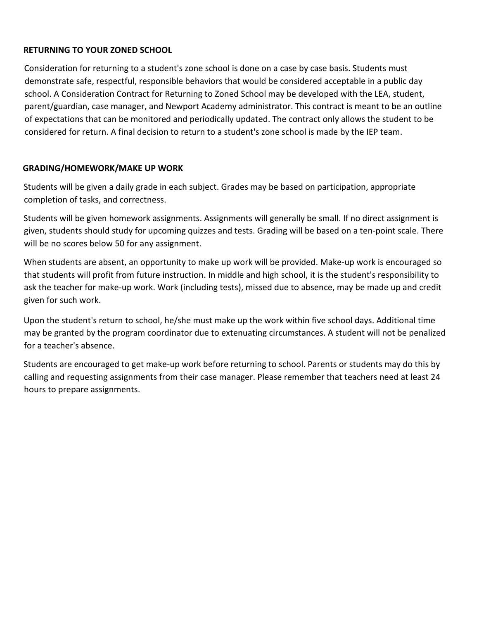### **RETURNING TO YOUR ZONED SCHOOL**

Consideration for returning to a student's zone school is done on a case by case basis. Students must demonstrate safe, respectful, responsible behaviors that would be considered acceptable in a public day school. A Consideration Contract for Returning to Zoned School may be developed with the LEA, student, parent/guardian, case manager, and Newport Academy administrator. This contract is meant to be an outline of expectations that can be monitored and periodically updated. The contract only allows the student to be considered for return. A final decision to return to a student's zone school is made by the IEP team.

### **GRADING/HOMEWORK/MAKE UP WORK**

Students will be given a daily grade in each subject. Grades may be based on participation, appropriate completion of tasks, and correctness.

Students will be given homework assignments. Assignments will generally be small. If no direct assignment is given, students should study for upcoming quizzes and tests. Grading will be based on a ten-point scale. There will be no scores below 50 for any assignment.

When students are absent, an opportunity to make up work will be provided. Make-up work is encouraged so that students will profit from future instruction. In middle and high school, it is the student's responsibility to ask the teacher for make-up work. Work (including tests), missed due to absence, may be made up and credit given for such work.

Upon the student's return to school, he/she must make up the work within five school days. Additional time may be granted by the program coordinator due to extenuating circumstances. A student will not be penalized for a teacher's absence.

Students are encouraged to get make-up work before returning to school. Parents or students may do this by calling and requesting assignments from their case manager. Please remember that teachers need at least 24 hours to prepare assignments.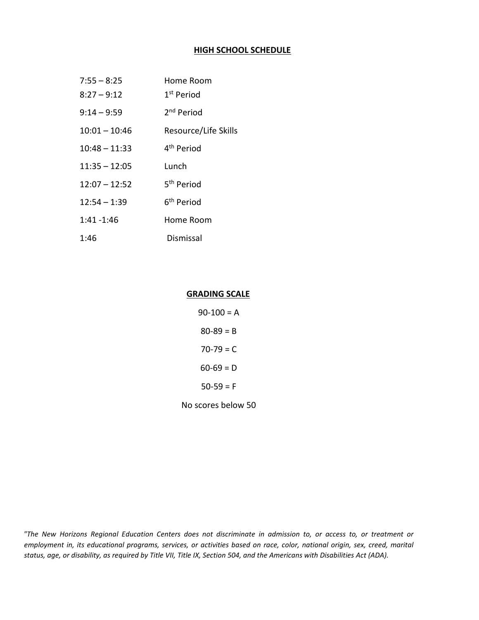### **HIGH SCHOOL SCHEDULE**

| $7:55 - 8:25$   | Home Room              |
|-----------------|------------------------|
| $8:27 - 9:12$   | 1 <sup>st</sup> Period |
| $9:14 - 9:59$   | 2 <sup>nd</sup> Period |
| $10:01 - 10:46$ | Resource/Life Skills   |
| $10:48 - 11:33$ | 4 <sup>th</sup> Period |
| $11:35 - 12:05$ | Lunch                  |
| $12:07 - 12:52$ | 5 <sup>th</sup> Period |
| $12:54 - 1:39$  | 6 <sup>th</sup> Period |
| $1:41 - 1:46$   | Home Room              |
| 1:46            | Dismissal              |

### **GRADING SCALE**

| 90-100 = A         |  |
|--------------------|--|
| $80 - 89 = B$      |  |
| 70-79 = C          |  |
| 60-69 = D          |  |
| $50-59 = F$        |  |
| No scores below 50 |  |

*"The New Horizons Regional Education Centers does not discriminate in admission to, or access to, or treatment or employment in, its educational programs, services, or activities based on race, color, national origin, sex, creed, marital status, age, or disability, as required by Title VII, Title IX, Section 504, and the Americans with Disabilities Act (ADA).*